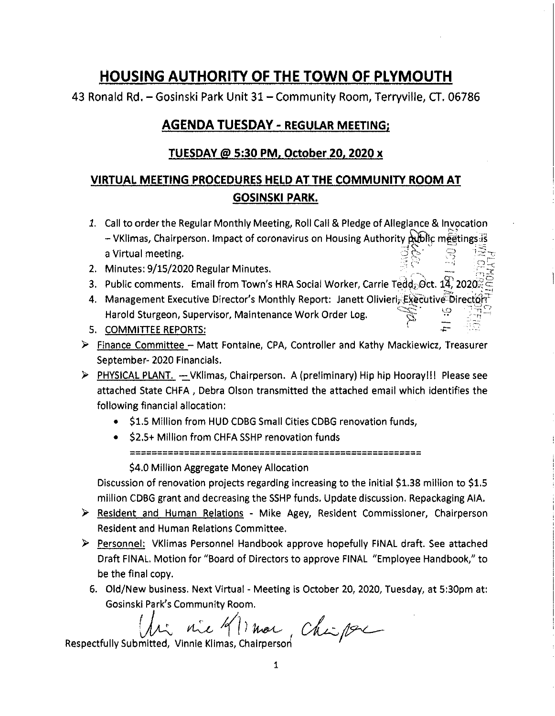## **HOUSING AUTHORITY OF THE TOWN OF PLYMOUTH**

43 Ronald Rd. - Gosinski Park Unit 31- Community Room, Terryville, CT. 06786

## **AGENDA TUESDAY - REGULAR MEETING;**

## **TUESDAY@ 5:30 PM, October 20, 2020 x**

## **VIRTUAL MEETING PROCEDURES HELD AT THE COMMUNITY ROOM AT GOSINSKI PARK.**

- 1. Call to order the Regular Monthly Meeting, Roll Call & Pledge of Allegiance & Invocation - VKIJmas, Chairperson. Impact of coronavirus on Housing Authority --.Jg"" ~c mf~tings]s '---~ -- ··~. •· *':5* ;:~,~ ,:.;.' "" ·i \_, a Virtual meeting.
- 2. Minutes: 9/15/2020 Regular Minutes.
- 3. Public comments. Email from Town's HRA Social Worker, Carrie Tedd, Oct. 14, 2020 $\leq$   $\leq$

 $\mathbb{P}^1_{\mathbb{R}^2}=\frac{1}{\mathbb{R}^2}\cdot\mathbb{P}^1_{\mathbb{R}^2}$ 

-i:

- r.::::.~:::: l[) , ::-.;: t-) 4. Management Executive Director's Monthly Report: Janett Olivierl;c~E~~otivloirecto;ri'f'  $-1$ ,  $-$ Harold Sturgeon, Supervisor, Maintenance Work Order Log. p
- 5. COMMITIEE REPORTS:
- $\triangleright$  Finance Committee Matt Fontaine, CPA, Controller and Kathy Mackiewicz, Treasurer September- 2020 Financials.
- $\triangleright$  PHYSICAL PLANT.  $\rightarrow$  VK limas, Chairperson. A (preliminary) Hip hip Hooray!!! Please see attached State CHFA , Debra Olson transmitted the attached email which identifies the following financial allocation:
	- \$1.5 Million from HUD CDBG Small Cities CDBG renovation funds,
	- **S2.5+ Million from CHFA SSHP renovation funds** ====================================================== \$4.0 Million Aggregate Money Allocation

Discussion of renovation projects regarding increasing to the Initial \$1.38 million to \$1.5 million CDBG grant and decreasing the SSHP funds. Update discussion. Repackaging AIA.

- $\triangleright$  Resident and Human Relations Mike Agey, Resident Commissioner, Chairperson Resident and Human Relations Committee.
- $\triangleright$  Personnel: VKlimas Personnel Handbook approve hopefully FINAL draft. See attached Draft FINAL. Motion for "Board of Directors to approve FINAL "Employee Handbook," to be the final copy.
	- 6. Old/New business. Next Virtual Meeting is October 20, 2020, Tuesday, at 5:30pm at: Gesinski Park's Community Room.

 $W:$  nie  $4$ l) mar, nie 91 mar Chipse

Respectfully Submitted,